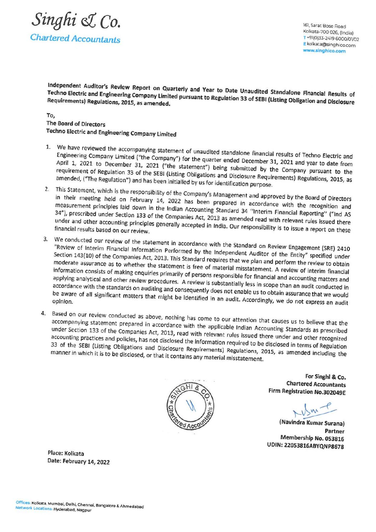

Kolkata-700 026, (India)<br>T +91(0)33-2419 6000/01/02

Independent Auditor's Review Report on Quarterly and Year to Date Unaudited Standalone Financial Results of Techno Electric and Engineering Company Limited pursuant to Regulation 33 of SEBI (Listing Obligation and Disclosure<br>Requirements) Regulations, 2015, as amended. Requirements) Regulations, 2015, as amended.

## TO, The Board of Directors Techno Electric and Engineering Company Limited

- 1. We have reviewed the accompanying statement of unaudited standalone financial results of Techno Electric and Engineering Company Limited ("the Company") for the quarter ended December 31, 2021 and year to date from Apri
- in their meeting held on February 14, 2022 has been prepared in accordance with the recognition and<br>measurement principles laid down in the Indian Accounting Standard 24 "Interior" measurement principles laid down in the Indian Accounting Standard 34 "Interim Financial Reporting" ("Ind As 34"), prescribed under Section 133 of the Companies Act, 2013 as amended read with relevant rules issued there<br>under and other accounting principles generally accepted in India. Our recreation is the relevant rules issued under and other accounting principles generally accepted in India. Our responsibility is to issue a report on these<br>financial results based on our review. financial results based on our review.
- 3. We conducted our review of the statement in accordance with the Standard on Review Engagement (SRE) 2410<br>"Review of Interim Financial Information Performed by the Independent Auditor of the Engagement (SRE) 2410 "Review of Interim Financial Information Performed by the Independent Auditor of the Entity" specified under<br>Section 143(10) of the Companies Act, 2013. This Standard requires that we also Section 143(10) of the Companies Act, 2013. This Standard requires that we plan and perform the review to obtain<br>moderate assurance as to whether the statement is free of material misetation and perform the review to obtai moderate assurance as to whether the statement is free of material misstatement. A review of interim financial<br>information consists of making enquiries primarily of persons responsible for financial information consists of making enquiries primarily of persons responsible for financial and accounting matters and<br>applying analytical and other review procedures. A review is substantially less in case in the set of the s applying analytical and other review procedures. A review is substantially less in scope than an audit conducted in<br>accordance with the standards on auditing and consequently does not analytical and an audit conducted in accordance with the standards on auditing and consequently does not enable us to obtain assurance that we would<br>be aware of all significant matters that might be identified in an audit. According assurance that we would be aware of all significant matters that might be identified in an audit. Accordingly, we do not express an audit opinion.
- 4. Based on our review conducted as above, nothing has come to our attention that causes us to believe that the<br>accompanying statement prepared in accordance with the applicable indian According to believe that the accompanying statement prepared in accordance with the applicable Indian Accounting Standards as prescribed<br>under Section 133 of the Companies Act, 2013, read with relevant rules issued theme in under Section 133 of the Companies Act, 2013, read with relevant rules issued there under and other recognized<br>accounting practices and policies, has not disclosed the information required to be dividend and other recogniz accounting practices and policies, has not disclosed the information required to be disclosed in terms of Regulation<br>33 of the SEBI (Listing Obligations and Disclosure Requirements) Poculation and accounting practices 33 of the SEBI (Listing Obligations and Disclosed the information required to be disclosed in terms of Regulation<br>manner in which it is to be disclosed, or that it contains any material microtecomes. manner in which it is to be disclosed, or that it contains any material misstatement.



For Singhi & Co. Chartered Accountants Firm Registration No.302049E

 $m<sup>2</sup>$ 

(Navindra Kumar Surana) Partner<br>Membership No. 053816 UDIN: 22053816ABYQNP8678

Place: Kolkata Date: February 14, 2022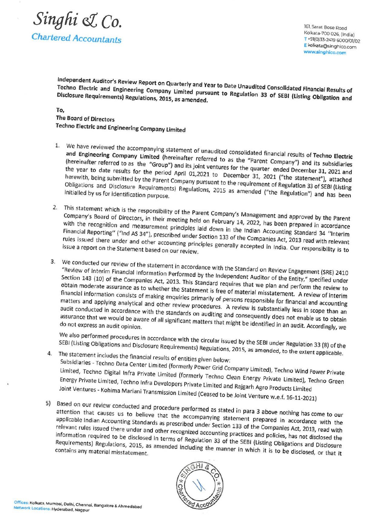

Independent Auditor's Review Report on Quarterly and Year to Date Unaudited Consolidated Financial Results of<br>Techno Electric and Engineering Company Limited pursuant to Pequistion 22 of Capatied Financial Results of Techno Electric and Engineering Company Limited pursuant to Date Unaudited Consolidated Financial Results of<br>Disclosure Requirements) Regulations, 2015, as amended. Disclosure Requirements) Regulations, 2015, as amended.

## To,

## The Board of Directors Techno Electric and Engineering Company Limited

- 1. We have reviewed the accompanying statement of unaudited consolidated financial results of Techno Electric<br>and Engineering Company Limited (hereinafter referred to as the "Parent Company") and its subsidiaries<br>(hereinaf
- 2. This statement which is the responsibility of the Parent Company's Management and approved by the Parent Company's Board of Directors, in their meeting held on February 14, 2022, has been prepared in accordance with the
- 3. We conducted our review of the statement in accordance with the Standard on Review Engagement (SRE) 2410 "Review of Interim Financial Information Performed by the Independent Auditor of the Entity," specified under<br>Sect assurance that we would be aware of all significant matters that might be identified in an audit. Accordingly, we<br>do not express an audit opinion.<br>We also performed procedures in accordance with the circular issued by the

- SEBI (Listing Obligations and Disclosure Requirements) Regulations, 2015, as amended, to the extent applicable.<br>4. The statement includes the financial results of entities given below:<br>5 Subsidiaries Techno Data Center L Joint Ventures - Kohima Energy Private Limited,
- Joint Ventures Kohima Mariani Transmission Limited (Ceased to be Joint Venture w.e.f. 16-11-2021)<br>5) Based on our review conducted and procedure performed as stated in para 3 above nothing has come to our attention that applicable Indian Accounting Standards as prescribed under Section 133 of the Companies Act, 2013, read with<br>relevant rules issued there under and other recognized accounting practices and politics Act, 2013, read with relevant rules issued there under and other recognized accounting practices and policies Act, 2013, read with<br>information required to be disclosed in terms of Regulation 33 of the SEDI (Lights QU). Beginning information required to be disclosed in terms of Regulation 33 of the SEBI (Listing Dolicies, has not disclosed the<br>Requirements) Regulations, 2015, as amended including the manner in which it is Colligations and Disclosur Requirements) Regulations, 2015, as amended including the manner in which it is to be disclosed, or that it<br>contains any material misstatement.